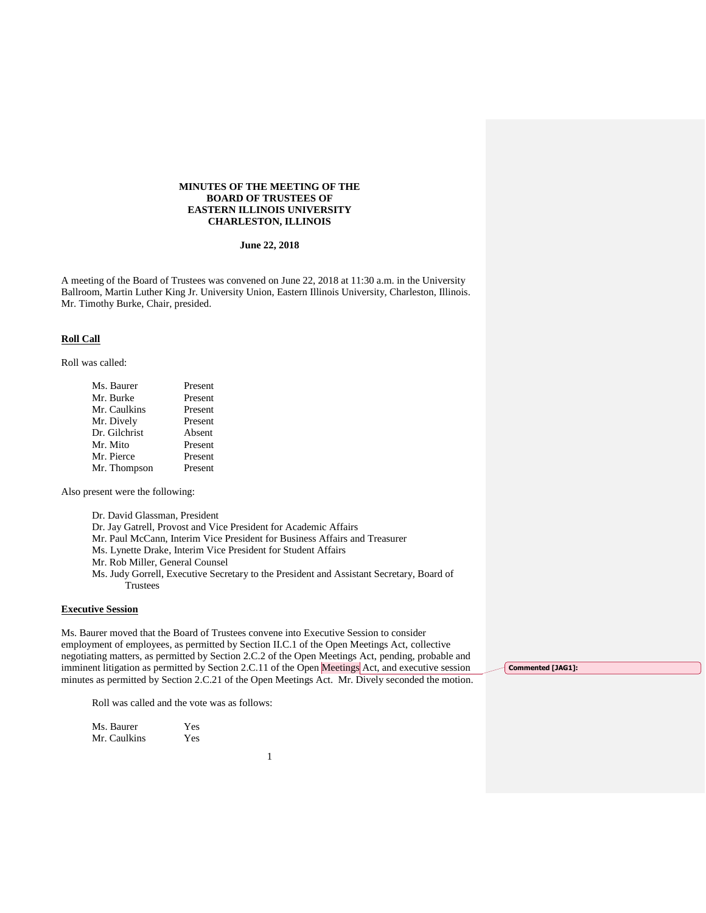## **MINUTES OF THE MEETING OF THE BOARD OF TRUSTEES OF EASTERN ILLINOIS UNIVERSITY CHARLESTON, ILLINOIS**

## **June 22, 2018**

A meeting of the Board of Trustees was convened on June 22, 2018 at 11:30 a.m. in the University Ballroom, Martin Luther King Jr. University Union, Eastern Illinois University, Charleston, Illinois. Mr. Timothy Burke, Chair, presided.

## **Roll Call**

Roll was called:

| Ms. Baurer    | Present |
|---------------|---------|
| Mr. Burke     | Present |
| Mr. Caulkins  | Present |
| Mr. Dively    | Present |
| Dr. Gilchrist | Absent  |
| Mr. Mito      | Present |
| Mr. Pierce    | Present |
| Mr. Thompson  | Present |

Also present were the following:

Dr. David Glassman, President

Dr. Jay Gatrell, Provost and Vice President for Academic Affairs

Mr. Paul McCann, Interim Vice President for Business Affairs and Treasurer

- Ms. Lynette Drake, Interim Vice President for Student Affairs
- Mr. Rob Miller, General Counsel
- Ms. Judy Gorrell, Executive Secretary to the President and Assistant Secretary, Board of **Trustees**

# **Executive Session**

Ms. Baurer moved that the Board of Trustees convene into Executive Session to consider employment of employees, as permitted by Section II.C.1 of the Open Meetings Act, collective negotiating matters, as permitted by Section 2.C.2 of the Open Meetings Act, pending, probable and imminent litigation as permitted by Section 2.C.11 of the Open Meetings Act, and executive session minutes as permitted by Section 2.C.21 of the Open Meetings Act. Mr. Dively seconded the motion.

Roll was called and the vote was as follows:

| Ms. Baurer   | Yes |
|--------------|-----|
| Mr. Caulkins | Yes |

1

**Commented [JAG1]:**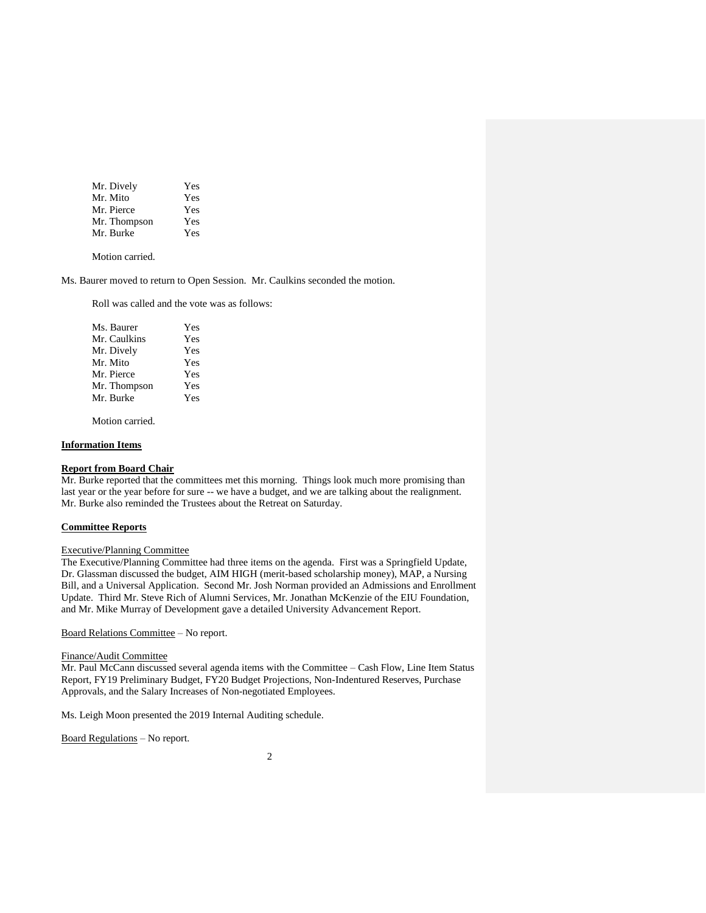| Mr. Dively   | Yes |
|--------------|-----|
| Mr. Mito     | Yes |
| Mr. Pierce   | Yes |
| Mr. Thompson | Yes |
| Mr. Burke    | Yes |

Motion carried.

Ms. Baurer moved to return to Open Session. Mr. Caulkins seconded the motion.

Roll was called and the vote was as follows:

| Ms. Baurer   | Yes |
|--------------|-----|
| Mr. Caulkins | Yes |
| Mr. Dively   | Yes |
| Mr. Mito     | Yes |
| Mr. Pierce   | Yes |
| Mr. Thompson | Yes |
| Mr. Burke    | Yes |
|              |     |

Motion carried.

## **Information Items**

# **Report from Board Chair**

Mr. Burke reported that the committees met this morning. Things look much more promising than last year or the year before for sure -- we have a budget, and we are talking about the realignment. Mr. Burke also reminded the Trustees about the Retreat on Saturday.

# **Committee Reports**

## Executive/Planning Committee

The Executive/Planning Committee had three items on the agenda. First was a Springfield Update, Dr. Glassman discussed the budget, AIM HIGH (merit-based scholarship money), MAP, a Nursing Bill, and a Universal Application. Second Mr. Josh Norman provided an Admissions and Enrollment Update. Third Mr. Steve Rich of Alumni Services, Mr. Jonathan McKenzie of the EIU Foundation, and Mr. Mike Murray of Development gave a detailed University Advancement Report.

Board Relations Committee – No report.

### Finance/Audit Committee

Mr. Paul McCann discussed several agenda items with the Committee – Cash Flow, Line Item Status Report, FY19 Preliminary Budget, FY20 Budget Projections, Non-Indentured Reserves, Purchase Approvals, and the Salary Increases of Non-negotiated Employees.

Ms. Leigh Moon presented the 2019 Internal Auditing schedule.

Board Regulations – No report.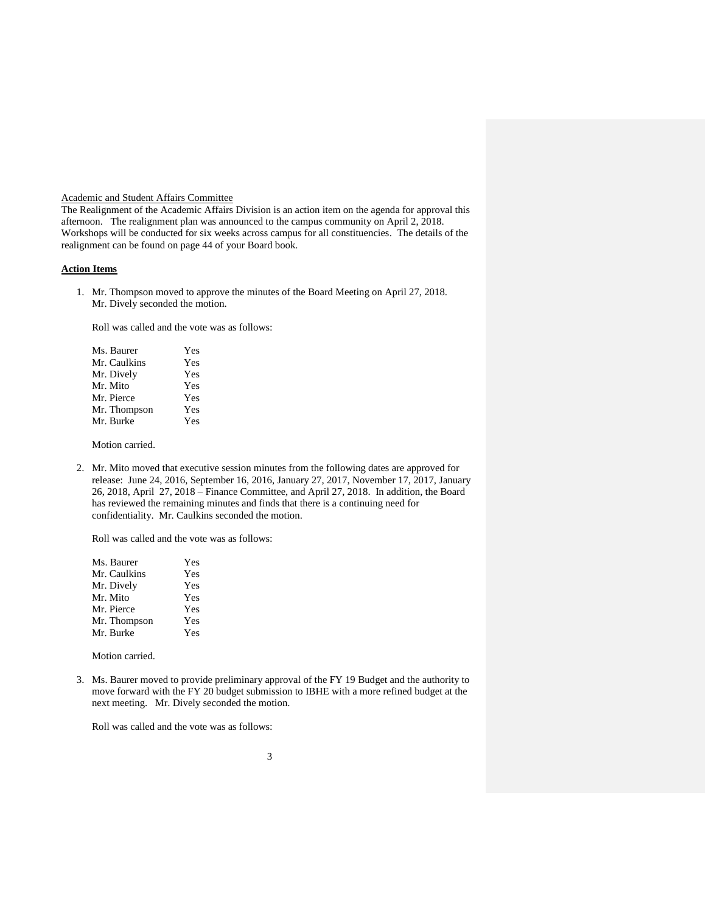# Academic and Student Affairs Committee

The Realignment of the Academic Affairs Division is an action item on the agenda for approval this afternoon. The realignment plan was announced to the campus community on April 2, 2018. Workshops will be conducted for six weeks across campus for all constituencies. The details of the realignment can be found on page 44 of your Board book.

#### **Action Items**

1. Mr. Thompson moved to approve the minutes of the Board Meeting on April 27, 2018. Mr. Dively seconded the motion.

Roll was called and the vote was as follows:

| Ms. Baurer   | <b>Yes</b> |
|--------------|------------|
| Mr. Caulkins | Yes        |
| Mr. Dively   | Yes        |
| Mr. Mito     | Yes        |
| Mr. Pierce   | Yes        |
| Mr. Thompson | Yes        |
| Mr. Burke    | Yes        |

Motion carried.

2. Mr. Mito moved that executive session minutes from the following dates are approved for release: June 24, 2016, September 16, 2016, January 27, 2017, November 17, 2017, January 26, 2018, April 27, 2018 – Finance Committee, and April 27, 2018. In addition, the Board has reviewed the remaining minutes and finds that there is a continuing need for confidentiality. Mr. Caulkins seconded the motion.

Roll was called and the vote was as follows:

| Ms. Baurer   | Yes |
|--------------|-----|
| Mr. Caulkins | Yes |
| Mr. Dively   | Yes |
| Mr. Mito     | Yes |
| Mr. Pierce   | Yes |
| Mr. Thompson | Yes |
| Mr. Burke    | Yes |

Motion carried.

3. Ms. Baurer moved to provide preliminary approval of the FY 19 Budget and the authority to move forward with the FY 20 budget submission to IBHE with a more refined budget at the next meeting. Mr. Dively seconded the motion.

Roll was called and the vote was as follows: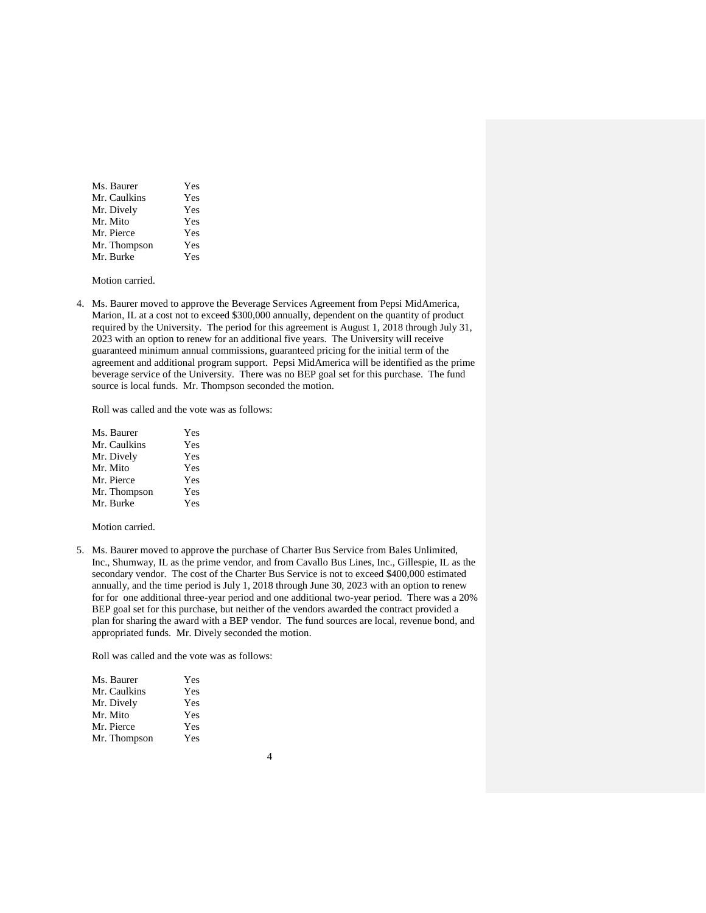| Ms. Baurer   | <b>Yes</b> |
|--------------|------------|
| Mr. Caulkins | Yes        |
| Mr. Dively   | Yes        |
| Mr. Mito     | Yes        |
| Mr. Pierce   | Yes        |
| Mr. Thompson | Yes        |
| Mr. Burke    | <b>Yes</b> |

Motion carried.

4. Ms. Baurer moved to approve the Beverage Services Agreement from Pepsi MidAmerica, Marion, IL at a cost not to exceed \$300,000 annually, dependent on the quantity of product required by the University. The period for this agreement is August 1, 2018 through July 31, 2023 with an option to renew for an additional five years. The University will receive guaranteed minimum annual commissions, guaranteed pricing for the initial term of the agreement and additional program support. Pepsi MidAmerica will be identified as the prime beverage service of the University. There was no BEP goal set for this purchase. The fund source is local funds. Mr. Thompson seconded the motion.

Roll was called and the vote was as follows:

| Ms. Baurer   | Yes |
|--------------|-----|
| Mr. Caulkins | Yes |
| Mr. Dively   | Yes |
| Mr. Mito     | Yes |
| Mr. Pierce   | Yes |
| Mr. Thompson | Yes |
| Mr. Burke    | Yes |
|              |     |

Motion carried.

5. Ms. Baurer moved to approve the purchase of Charter Bus Service from Bales Unlimited, Inc., Shumway, IL as the prime vendor, and from Cavallo Bus Lines, Inc., Gillespie, IL as the secondary vendor. The cost of the Charter Bus Service is not to exceed \$400,000 estimated annually, and the time period is July 1, 2018 through June 30, 2023 with an option to renew for for one additional three-year period and one additional two-year period. There was a 20% BEP goal set for this purchase, but neither of the vendors awarded the contract provided a plan for sharing the award with a BEP vendor. The fund sources are local, revenue bond, and appropriated funds. Mr. Dively seconded the motion.

Roll was called and the vote was as follows:

| Ms. Baurer   | Yes |
|--------------|-----|
| Mr. Caulkins | Yes |
| Mr. Dively   | Yes |
| Mr. Mito     | Yes |
| Mr. Pierce   | Yes |
| Mr. Thompson | Yes |
|              |     |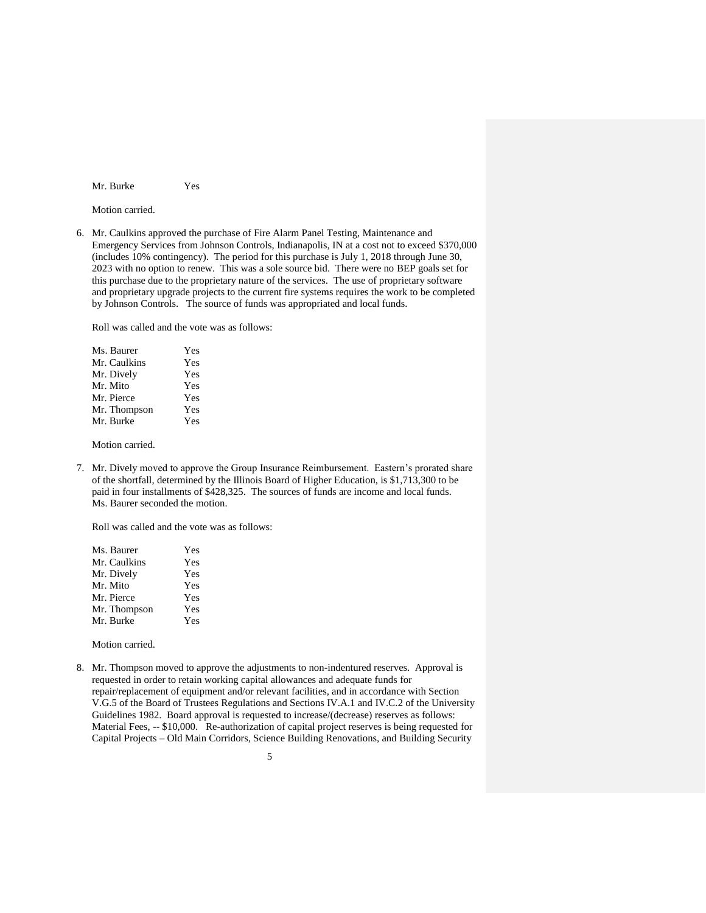Mr. Burke Yes

Motion carried.

6. Mr. Caulkins approved the purchase of Fire Alarm Panel Testing, Maintenance and Emergency Services from Johnson Controls, Indianapolis, IN at a cost not to exceed \$370,000 (includes 10% contingency). The period for this purchase is July 1, 2018 through June 30, 2023 with no option to renew. This was a sole source bid. There were no BEP goals set for this purchase due to the proprietary nature of the services. The use of proprietary software and proprietary upgrade projects to the current fire systems requires the work to be completed by Johnson Controls. The source of funds was appropriated and local funds.

Roll was called and the vote was as follows:

| Ms. Baurer   | <b>Yes</b> |
|--------------|------------|
| Mr. Caulkins | Yes        |
| Mr. Dively   | Yes        |
| Mr. Mito     | Yes        |
| Mr. Pierce   | Yes        |
| Mr. Thompson | Yes        |
| Mr. Burke    | Yes        |

Motion carried.

7. Mr. Dively moved to approve the Group Insurance Reimbursement. Eastern's prorated share of the shortfall, determined by the Illinois Board of Higher Education, is \$1,713,300 to be paid in four installments of \$428,325. The sources of funds are income and local funds. Ms. Baurer seconded the motion.

Roll was called and the vote was as follows:

| Ms. Baurer   | Yes |
|--------------|-----|
| Mr. Caulkins | Yes |
| Mr. Dively   | Yes |
| Mr. Mito     | Yes |
| Mr. Pierce   | Yes |
| Mr. Thompson | Yes |
| Mr. Burke    | Yes |

Motion carried.

8. Mr. Thompson moved to approve the adjustments to non-indentured reserves. Approval is requested in order to retain working capital allowances and adequate funds for repair/replacement of equipment and/or relevant facilities, and in accordance with Section V.G.5 of the Board of Trustees Regulations and Sections IV.A.1 and IV.C.2 of the University Guidelines 1982. Board approval is requested to increase/(decrease) reserves as follows: Material Fees, -- \$10,000. Re-authorization of capital project reserves is being requested for Capital Projects – Old Main Corridors, Science Building Renovations, and Building Security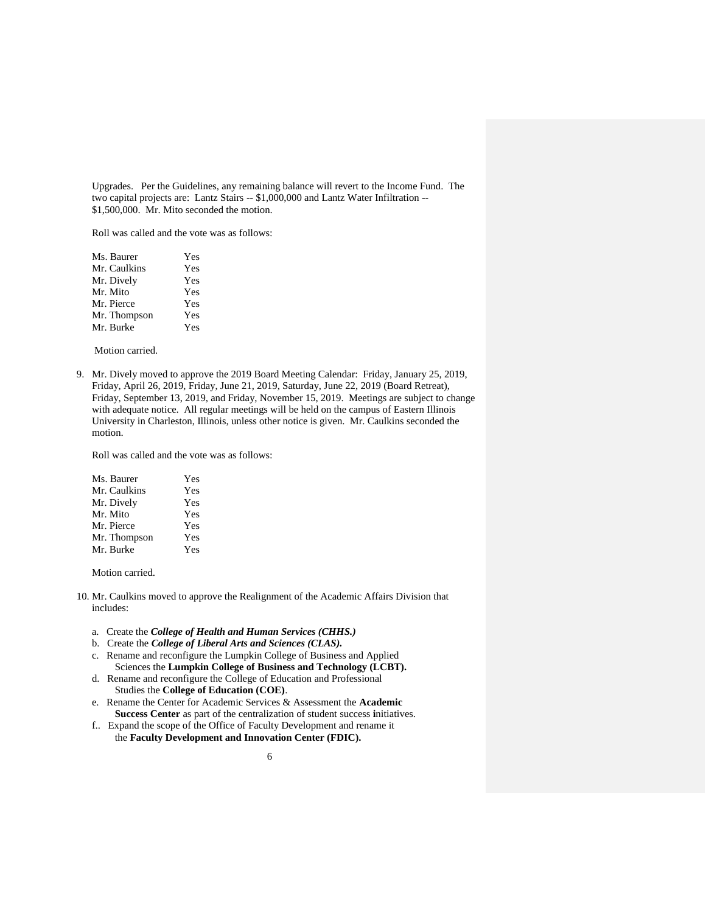Upgrades. Per the Guidelines, any remaining balance will revert to the Income Fund. The two capital projects are: Lantz Stairs -- \$1,000,000 and Lantz Water Infiltration -- \$1,500,000. Mr. Mito seconded the motion.

Roll was called and the vote was as follows:

| Ms. Baurer   | Yes |
|--------------|-----|
| Mr. Caulkins | Yes |
| Mr. Dively   | Yes |
| Mr. Mito     | Yes |
| Mr. Pierce   | Yes |
| Mr. Thompson | Yes |
| Mr. Burke    | Yes |

Motion carried.

9. Mr. Dively moved to approve the 2019 Board Meeting Calendar: Friday, January 25, 2019, Friday, April 26, 2019, Friday, June 21, 2019, Saturday, June 22, 2019 (Board Retreat), Friday, September 13, 2019, and Friday, November 15, 2019. Meetings are subject to change with adequate notice. All regular meetings will be held on the campus of Eastern Illinois University in Charleston, Illinois, unless other notice is given. Mr. Caulkins seconded the motion.

Roll was called and the vote was as follows:

| Ms. Baurer   | <b>Yes</b> |
|--------------|------------|
| Mr. Caulkins | Yes        |
| Mr. Dively   | Yes        |
| Mr. Mito     | Yes        |
| Mr. Pierce   | Yes        |
| Mr. Thompson | Yes        |
| Mr. Burke    | <b>Yes</b> |

Motion carried.

- 10. Mr. Caulkins moved to approve the Realignment of the Academic Affairs Division that includes:
	- a. Create the *College of Health and Human Services (CHHS.)*
	- b. Create the *College of Liberal Arts and Sciences (CLAS).*
	- c. Rename and reconfigure the Lumpkin College of Business and Applied Sciences the **Lumpkin College of Business and Technology (LCBT).**
	- d. Rename and reconfigure the College of Education and Professional Studies the **College of Education (COE)**.
	- e. Rename the Center for Academic Services & Assessment the **Academic Success Center** as part of the centralization of student success **i**nitiatives.
	- f.. Expand the scope of the Office of Faculty Development and rename it the **Faculty Development and Innovation Center (FDIC).**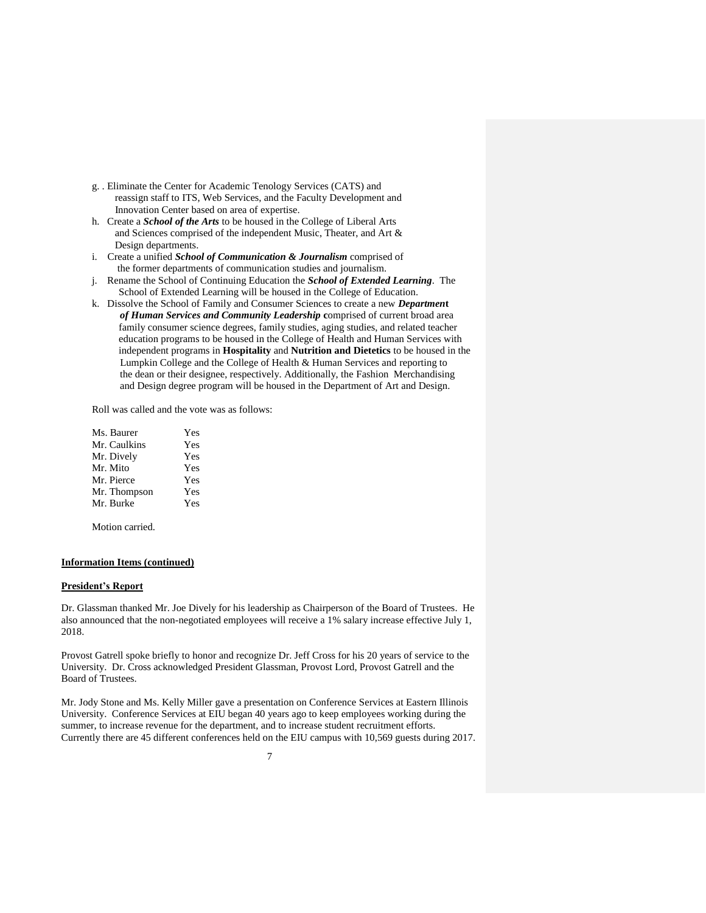- g. . Eliminate the Center for Academic Tenology Services (CATS) and reassign staff to ITS, Web Services, and the Faculty Development and Innovation Center based on area of expertise.
- h. Create a *School of the Arts* to be housed in the College of Liberal Arts and Sciences comprised of the independent Music, Theater, and Art & Design departments.
- i. Create a unified *School of Communication & Journalism* comprised of the former departments of communication studies and journalism.
- j. Rename the School of Continuing Education the *School of Extended Learning*. The School of Extended Learning will be housed in the College of Education.
- k. Dissolve the School of Family and Consumer Sciences to create a new *Departmen***t** *of Human Services and Community Leadership* **c**omprised of current broad area family consumer science degrees, family studies, aging studies, and related teacher education programs to be housed in the College of Health and Human Services with independent programs in **Hospitality** and **Nutrition and Dietetics** to be housed in the Lumpkin College and the College of Health & Human Services and reporting to the dean or their designee, respectively. Additionally, the Fashion Merchandising and Design degree program will be housed in the Department of Art and Design.

Roll was called and the vote was as follows:

| Ms. Baurer   | Yes |
|--------------|-----|
| Mr. Caulkins | Yes |
| Mr. Dively   | Yes |
| Mr. Mito     | Yes |
| Mr. Pierce   | Yes |
| Mr. Thompson | Yes |
| Mr. Burke    | Yes |
|              |     |

Motion carried.

#### **Information Items (continued)**

#### **President's Report**

Dr. Glassman thanked Mr. Joe Dively for his leadership as Chairperson of the Board of Trustees. He also announced that the non-negotiated employees will receive a 1% salary increase effective July 1, 2018.

Provost Gatrell spoke briefly to honor and recognize Dr. Jeff Cross for his 20 years of service to the University. Dr. Cross acknowledged President Glassman, Provost Lord, Provost Gatrell and the Board of Trustees.

Mr. Jody Stone and Ms. Kelly Miller gave a presentation on Conference Services at Eastern Illinois University. Conference Services at EIU began 40 years ago to keep employees working during the summer, to increase revenue for the department, and to increase student recruitment efforts. Currently there are 45 different conferences held on the EIU campus with 10,569 guests during 2017.